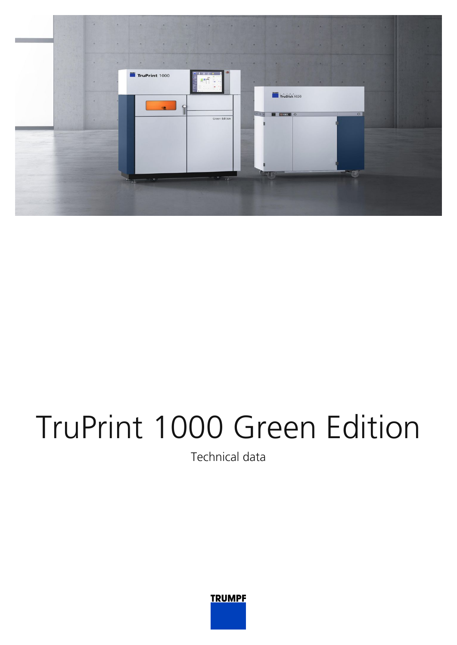

## TruPrint 1000 Green Edition

Technical data

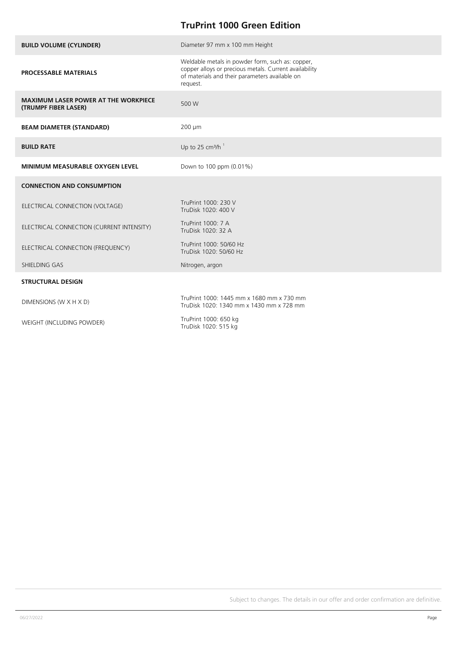## **TruPrint 1000 Green Edition**

| <b>BUILD VOLUME (CYLINDER)</b>                                      | Diameter 97 mm x 100 mm Height                                                                                                                                           |
|---------------------------------------------------------------------|--------------------------------------------------------------------------------------------------------------------------------------------------------------------------|
| <b>PROCESSABLE MATERIALS</b>                                        | Weldable metals in powder form, such as: copper,<br>copper alloys or precious metals. Current availability<br>of materials and their parameters available on<br>request. |
| <b>MAXIMUM LASER POWER AT THE WORKPIECE</b><br>(TRUMPF FIBER LASER) | 500 W                                                                                                                                                                    |
| <b>BEAM DIAMETER (STANDARD)</b>                                     | 200 µm                                                                                                                                                                   |
| <b>BUILD RATE</b>                                                   | Up to 25 cm <sup>3</sup> /h <sup>1</sup>                                                                                                                                 |
| <b>MINIMUM MEASURABLE OXYGEN LEVEL</b>                              | Down to 100 ppm (0.01%)                                                                                                                                                  |
| <b>CONNECTION AND CONSUMPTION</b>                                   |                                                                                                                                                                          |
| ELECTRICAL CONNECTION (VOLTAGE)                                     | TruPrint 1000: 230 V<br>TruDisk 1020: 400 V                                                                                                                              |
| ELECTRICAL CONNECTION (CURRENT INTENSITY)                           | TruPrint 1000: 7 A<br>TruDisk 1020: 32 A                                                                                                                                 |
| ELECTRICAL CONNECTION (FREQUENCY)                                   | TruPrint 1000: 50/60 Hz<br>TruDisk 1020: 50/60 Hz                                                                                                                        |
| SHIELDING GAS                                                       | Nitrogen, argon                                                                                                                                                          |
| <b>STRUCTURAL DESIGN</b>                                            |                                                                                                                                                                          |
| DIMENSIONS (W X H X D)                                              | TruPrint 1000: 1445 mm x 1680 mm x 730 mm<br>TruDisk 1020: 1340 mm x 1430 mm x 728 mm                                                                                    |
| WEIGHT (INCLUDING POWDER)                                           | TruPrint 1000: 650 kg<br>$T_{\text{min}}$ $D_{\text{min}}$ $1000$ , $F1F$ $L_{\text{min}}$                                                                               |

TruDisk 1020: 515 kg